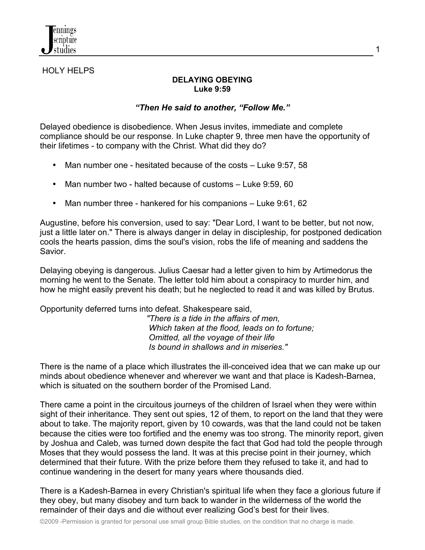

## HOLY HELPS

## **DELAYING OBEYING Luke 9:59**

## *"Then He said to another, "Follow Me."*

Delayed obedience is disobedience. When Jesus invites, immediate and complete compliance should be our response. In Luke chapter 9, three men have the opportunity of their lifetimes - to company with the Christ. What did they do?

- Man number one hesitated because of the costs Luke 9:57, 58
- Man number two halted because of customs Luke 9:59, 60
- Man number three hankered for his companions Luke 9:61, 62

Augustine, before his conversion, used to say: "Dear Lord, I want to be better, but not now, just a little later on." There is always danger in delay in discipleship, for postponed dedication cools the hearts passion, dims the soul's vision, robs the life of meaning and saddens the Savior.

Delaying obeying is dangerous. Julius Caesar had a letter given to him by Artimedorus the morning he went to the Senate. The letter told him about a conspiracy to murder him, and how he might easily prevent his death; but he neglected to read it and was killed by Brutus.

## Opportunity deferred turns into defeat. Shakespeare said,

 *"There is a tide in the affairs of men, Which taken at the flood, leads on to fortune; Omitted, all the voyage of their life Is bound in shallows and in miseries."*

There is the name of a place which illustrates the ill-conceived idea that we can make up our minds about obedience whenever and wherever we want and that place is Kadesh-Barnea, which is situated on the southern border of the Promised Land.

There came a point in the circuitous journeys of the children of Israel when they were within sight of their inheritance. They sent out spies, 12 of them, to report on the land that they were about to take. The majority report, given by 10 cowards, was that the land could not be taken because the cities were too fortified and the enemy was too strong. The minority report, given by Joshua and Caleb, was turned down despite the fact that God had told the people through Moses that they would possess the land. It was at this precise point in their journey, which determined that their future. With the prize before them they refused to take it, and had to continue wandering in the desert for many years where thousands died.

There is a Kadesh-Barnea in every Christian's spiritual life when they face a glorious future if they obey, but many disobey and turn back to wander in the wilderness of the world the remainder of their days and die without ever realizing God's best for their lives.